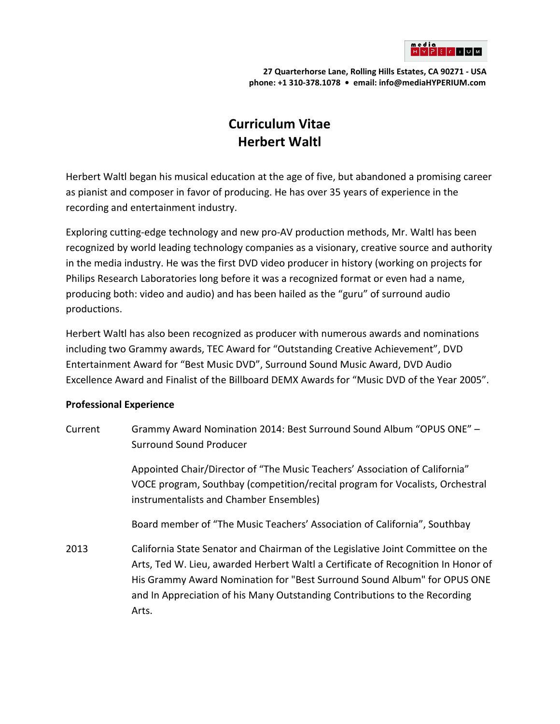

**27 Quarterhorse Lane, Rolling Hills Estates, CA 90271 - USA phone: +1 310-378.1078 • email: info@mediaHYPERIUM.com**

## **Curriculum Vitae Herbert Waltl**

Herbert Waltl began his musical education at the age of five, but abandoned a promising career as pianist and composer in favor of producing. He has over 35 years of experience in the recording and entertainment industry.

Exploring cutting-edge technology and new pro-AV production methods, Mr. Waltl has been recognized by world leading technology companies as a visionary, creative source and authority in the media industry. He was the first DVD video producer in history (working on projects for Philips Research Laboratories long before it was a recognized format or even had a name, producing both: video and audio) and has been hailed as the "guru" of surround audio productions.

Herbert Waltl has also been recognized as producer with numerous awards and nominations including two Grammy awards, TEC Award for "Outstanding Creative Achievement", DVD Entertainment Award for "Best Music DVD", Surround Sound Music Award, DVD Audio Excellence Award and Finalist of the Billboard DEMX Awards for "Music DVD of the Year 2005".

## **Professional Experience**

Current Grammy Award Nomination 2014: Best Surround Sound Album "OPUS ONE" – Surround Sound Producer

> Appointed Chair/Director of "The Music Teachers' Association of California" VOCE program, Southbay (competition/recital program for Vocalists, Orchestral instrumentalists and Chamber Ensembles)

Board member of "The Music Teachers' Association of California", Southbay

2013 California State Senator and Chairman of the Legislative Joint Committee on the Arts, Ted W. Lieu, awarded Herbert Waltl a Certificate of Recognition In Honor of His Grammy Award Nomination for "Best Surround Sound Album" for OPUS ONE and In Appreciation of his Many Outstanding Contributions to the Recording Arts.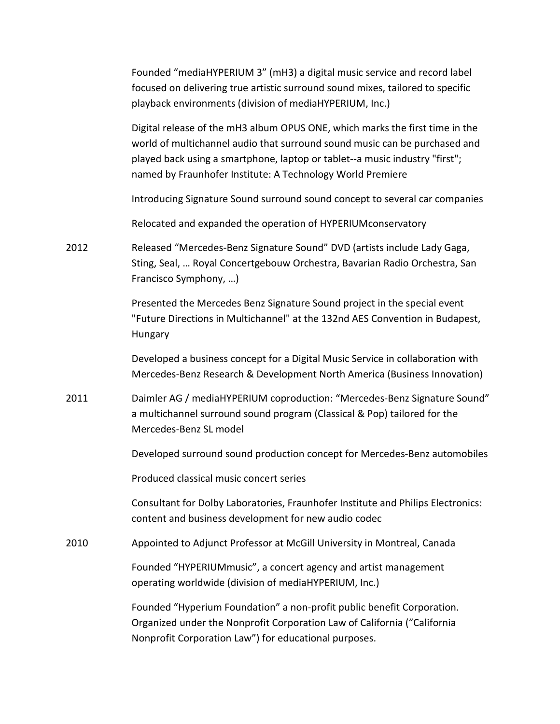|      | Founded "mediaHYPERIUM 3" (mH3) a digital music service and record label<br>focused on delivering true artistic surround sound mixes, tailored to specific<br>playback environments (division of mediaHYPERIUM, Inc.)                                                                                   |
|------|---------------------------------------------------------------------------------------------------------------------------------------------------------------------------------------------------------------------------------------------------------------------------------------------------------|
|      | Digital release of the mH3 album OPUS ONE, which marks the first time in the<br>world of multichannel audio that surround sound music can be purchased and<br>played back using a smartphone, laptop or tablet--a music industry "first";<br>named by Fraunhofer Institute: A Technology World Premiere |
|      | Introducing Signature Sound surround sound concept to several car companies                                                                                                                                                                                                                             |
|      | Relocated and expanded the operation of HYPERIUM conservatory                                                                                                                                                                                                                                           |
| 2012 | Released "Mercedes-Benz Signature Sound" DVD (artists include Lady Gaga,<br>Sting, Seal,  Royal Concertgebouw Orchestra, Bavarian Radio Orchestra, San<br>Francisco Symphony, )                                                                                                                         |
|      | Presented the Mercedes Benz Signature Sound project in the special event<br>"Future Directions in Multichannel" at the 132nd AES Convention in Budapest,<br>Hungary                                                                                                                                     |
|      | Developed a business concept for a Digital Music Service in collaboration with<br>Mercedes-Benz Research & Development North America (Business Innovation)                                                                                                                                              |
| 2011 | Daimler AG / mediaHYPERIUM coproduction: "Mercedes-Benz Signature Sound"<br>a multichannel surround sound program (Classical & Pop) tailored for the<br>Mercedes-Benz SL model                                                                                                                          |
|      | Developed surround sound production concept for Mercedes-Benz automobiles                                                                                                                                                                                                                               |
|      | Produced classical music concert series                                                                                                                                                                                                                                                                 |
|      | Consultant for Dolby Laboratories, Fraunhofer Institute and Philips Electronics:<br>content and business development for new audio codec                                                                                                                                                                |
| 2010 | Appointed to Adjunct Professor at McGill University in Montreal, Canada                                                                                                                                                                                                                                 |
|      | Founded "HYPERIUMmusic", a concert agency and artist management<br>operating worldwide (division of mediaHYPERIUM, Inc.)                                                                                                                                                                                |
|      | Founded "Hyperium Foundation" a non-profit public benefit Corporation.<br>Organized under the Nonprofit Corporation Law of California ("California<br>Nonprofit Corporation Law") for educational purposes.                                                                                             |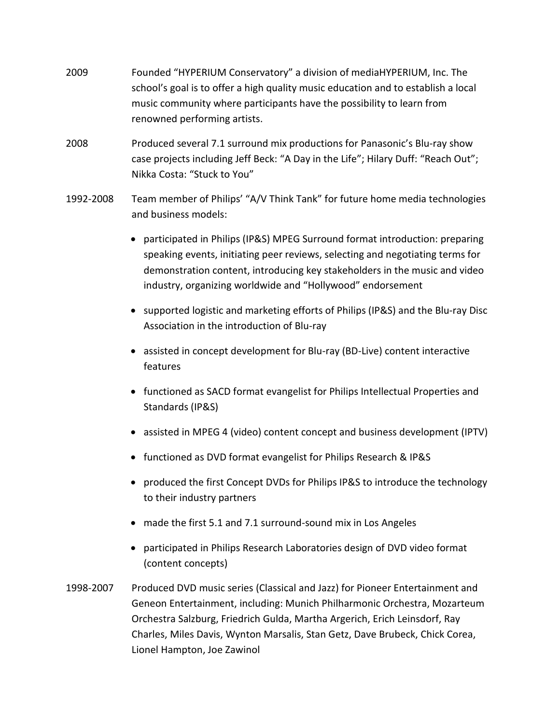- 2009 Founded "HYPERIUM Conservatory" a division of mediaHYPERIUM, Inc. The school's goal is to offer a high quality music education and to establish a local music community where participants have the possibility to learn from renowned performing artists.
- 2008 Produced several 7.1 surround mix productions for Panasonic's Blu-ray show case projects including Jeff Beck: "A Day in the Life"; Hilary Duff: "Reach Out"; Nikka Costa: "Stuck to You"
- 1992-2008 Team member of Philips' "A/V Think Tank" for future home media technologies and business models:
	- participated in Philips (IP&S) MPEG Surround format introduction: preparing speaking events, initiating peer reviews, selecting and negotiating terms for demonstration content, introducing key stakeholders in the music and video industry, organizing worldwide and "Hollywood" endorsement
	- supported logistic and marketing efforts of Philips (IP&S) and the Blu-ray Disc Association in the introduction of Blu-ray
	- assisted in concept development for Blu-ray (BD-Live) content interactive features
	- functioned as SACD format evangelist for Philips Intellectual Properties and Standards (IP&S)
	- assisted in MPEG 4 (video) content concept and business development (IPTV)
	- functioned as DVD format evangelist for Philips Research & IP&S
	- produced the first Concept DVDs for Philips IP&S to introduce the technology to their industry partners
	- made the first 5.1 and 7.1 surround-sound mix in Los Angeles
	- participated in Philips Research Laboratories design of DVD video format (content concepts)
- 1998-2007 Produced DVD music series (Classical and Jazz) for Pioneer Entertainment and Geneon Entertainment, including: Munich Philharmonic Orchestra, Mozarteum Orchestra Salzburg, Friedrich Gulda, Martha Argerich, Erich Leinsdorf, Ray Charles, Miles Davis, Wynton Marsalis, Stan Getz, Dave Brubeck, Chick Corea, Lionel Hampton, Joe Zawinol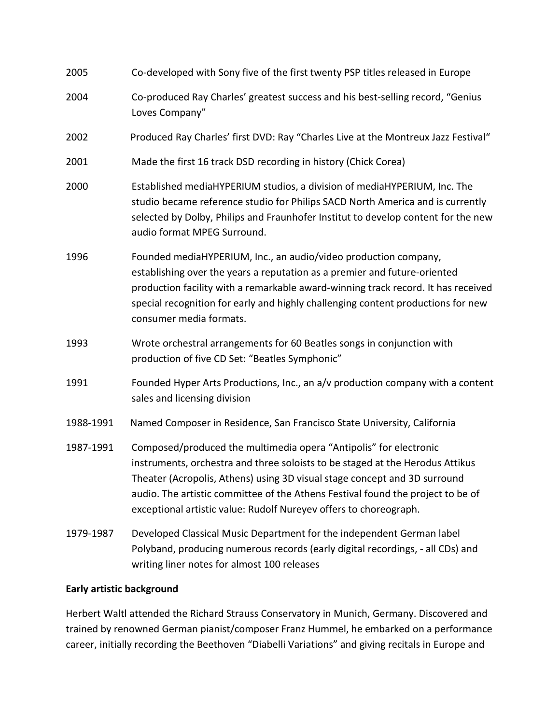| 2005      | Co-developed with Sony five of the first twenty PSP titles released in Europe                                                                                                                                                                                                                                                                                                           |
|-----------|-----------------------------------------------------------------------------------------------------------------------------------------------------------------------------------------------------------------------------------------------------------------------------------------------------------------------------------------------------------------------------------------|
| 2004      | Co-produced Ray Charles' greatest success and his best-selling record, "Genius<br>Loves Company"                                                                                                                                                                                                                                                                                        |
| 2002      | Produced Ray Charles' first DVD: Ray "Charles Live at the Montreux Jazz Festival"                                                                                                                                                                                                                                                                                                       |
| 2001      | Made the first 16 track DSD recording in history (Chick Corea)                                                                                                                                                                                                                                                                                                                          |
| 2000      | Established mediaHYPERIUM studios, a division of mediaHYPERIUM, Inc. The<br>studio became reference studio for Philips SACD North America and is currently<br>selected by Dolby, Philips and Fraunhofer Institut to develop content for the new<br>audio format MPEG Surround.                                                                                                          |
| 1996      | Founded mediaHYPERIUM, Inc., an audio/video production company,<br>establishing over the years a reputation as a premier and future-oriented<br>production facility with a remarkable award-winning track record. It has received<br>special recognition for early and highly challenging content productions for new<br>consumer media formats.                                        |
| 1993      | Wrote orchestral arrangements for 60 Beatles songs in conjunction with<br>production of five CD Set: "Beatles Symphonic"                                                                                                                                                                                                                                                                |
| 1991      | Founded Hyper Arts Productions, Inc., an a/v production company with a content<br>sales and licensing division                                                                                                                                                                                                                                                                          |
| 1988-1991 | Named Composer in Residence, San Francisco State University, California                                                                                                                                                                                                                                                                                                                 |
| 1987-1991 | Composed/produced the multimedia opera "Antipolis" for electronic<br>instruments, orchestra and three soloists to be staged at the Herodus Attikus<br>Theater (Acropolis, Athens) using 3D visual stage concept and 3D surround<br>audio. The artistic committee of the Athens Festival found the project to be of<br>exceptional artistic value: Rudolf Nureyev offers to choreograph. |
| 1979-1987 | Developed Classical Music Department for the independent German label<br>Polyband, producing numerous records (early digital recordings, - all CDs) and<br>writing liner notes for almost 100 releases                                                                                                                                                                                  |

## **Early artistic background**

Herbert Waltl attended the Richard Strauss Conservatory in Munich, Germany. Discovered and trained by renowned German pianist/composer Franz Hummel, he embarked on a performance career, initially recording the Beethoven "Diabelli Variations" and giving recitals in Europe and